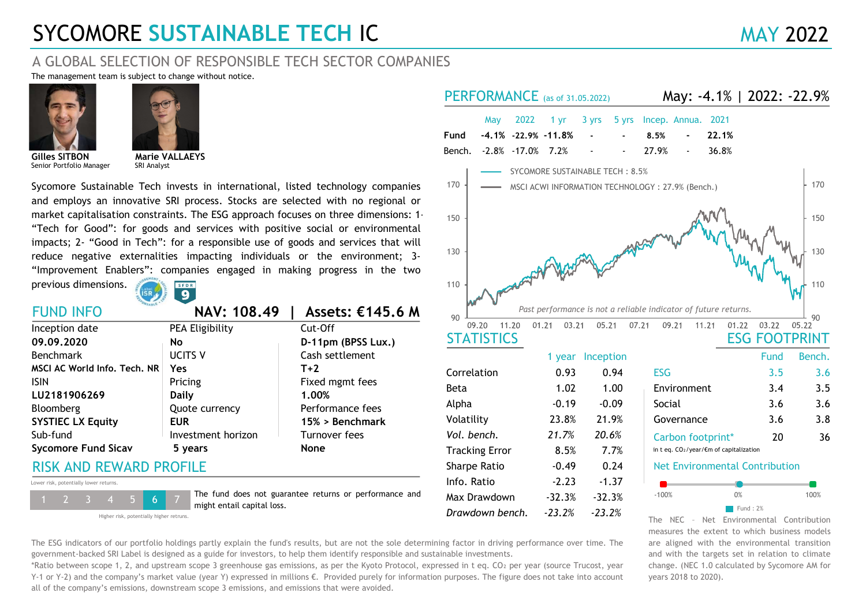# SYCOMORE SUSTAINABLE TECH IC MAY 2022

# A GLOBAL SELECTION OF RESPONSIBLE TECH SECTOR COMPANIES

The management team is subject to change without notice.





Senior Portfolio Manager

SRI Analyst Marie VALLAEYS

Sycomore Sustainable Tech invests in international, listed technology companies and employs an innovative SRI process. Stocks are selected with no regional or market capitalisation constraints. The ESG approach focuses on three dimensions: 1- "Tech for Good": for goods and services with positive social or environmental impacts; 2- "Good in Tech": for a responsible use of goods and services that will reduce negative externalities impacting individuals or the environment; 3- "Improvement Enablers": companies engaged in making progress in the two

previous dimensions.



FUND INFO NAV: 108.49 | Assets: €145.6 M

|                              |                    |                    | $90 -$                |                |                  |
|------------------------------|--------------------|--------------------|-----------------------|----------------|------------------|
| Inception date               | PEA Eligibility    | Cut-Off            | 11.20<br>09.20        | 01.21<br>03.21 | 05.21            |
| 09.09.2020                   | <b>No</b>          | D-11pm (BPSS Lux.) | <b>STATISTICS</b>     |                |                  |
| Benchmark                    | <b>UCITS V</b>     | Cash settlement    |                       |                | 1 year Inception |
| MSCI AC World Info. Tech. NR | Yes                | $T+2$              | Correlation           | 0.93           | 0.94             |
| <b>ISIN</b>                  | Pricing            | Fixed mgmt fees    | Beta                  | 1.02           | 1.00             |
| LU2181906269                 | <b>Daily</b>       | 1.00%              |                       |                |                  |
| Bloomberg                    | Quote currency     | Performance fees   | Alpha                 | $-0.19$        | $-0.09$          |
| <b>SYSTIEC LX Equity</b>     | <b>EUR</b>         | 15% > Benchmark    | Volatility            | 23.8%          | 21.9%            |
| Sub-fund                     | Investment horizon | Turnover fees      | Vol. bench.           | 21.7%          | 20.6%            |
| <b>Sycomore Fund Sicav</b>   | 5 years            | <b>None</b>        | <b>Tracking Error</b> | 8.5%           | 7.7%             |
|                              |                    |                    |                       |                |                  |

#### RISK AND REWARD PROFILE

Lower risk, potentially lower returns.



The fund does not guarantee returns or performance and might entail capital loss.

Higher risk, potentially higher retruns.

- Sharpe Ratio -0.49 Info. Ratio -2.23 Volatility 23.8% 21.9% May 2022 1 yr 3 yrs 5 yrs Incep. Annua. 2021 PERFORMANCE (as of 31.05.2022) -17.0% -2.8% 7.2% Bench. Fund -4.1% -22.9% -11.8% -1.37 Max Drawdown -32.3% -32.3% Tracking Error 8.5% 7.7% Vol. bench. 21.7% 20.6% 36.8% 8.5% - 22.1% - May: -4.1% | 2022: -22.9% 27.9% Governance 3.6 ESG FOOTPRINT Fund Bench. ESG 3.5 Environment Net Environmental Contribution Carbon footprint\* 20 1.00 Correlation 0.93 0.94 36 in t eq. CO₂/year/€m of capitalization - 3.8 Past performance is not a reliable indicator of future returns. 3.6 3.4 3.5 Alpha Social 3.6 3.6 **STATISTICS** 1 year Inception  $\blacksquare$  Fund : 2% 0.24 Beta 90 110 130 150 170  $90\frac{1}{09.20}$  11.20 01.21 03.21 05.21 07.21  $110 + 20$  $\sim$  130  $+$  $150 +$ 170 | — MSCI ACWI INFORMATION TECHNOLOGY : 27.9% (Bench.) | 170 SYCOMORE SUSTAINABLE TECH: 8.5% A MANY MANY 130<br>
MANY MANY 130<br>
09.21 11.21 01.22 03.22 05.22<br>
ESG FOOTPRINT<br>
Fund Bench.<br>
3.5 3.6<br>
ENVIRONMENT Fund Bench.<br>
3.5 3.6<br>
Social 3.6 3.8<br>
Social 3.6 3.8<br>
Governance 3.6 3.8<br>
Carbon footprint\* 20 36<br>
Carbon foot

The NEC – Net Environmental Contribution measures the extent to which business models are aligned with the environmental transition and with the targets set in relation to climate change. (NEC 1.0 calculated by Sycomore AM for years 2018 to 2020).

The ESG indicators of our portfolio holdings partly explain the fund's results, but are not the sole determining factor in driving performance over time. The government-backed SRI Label is designed as a guide for investors, to help them identify responsible and sustainable investments.

Drawdown bench.

-23.2%

-23.2%

\*Ratio between scope 1, 2, and upstream scope 3 greenhouse gas emissions, as per the Kyoto Protocol, expressed in t eq. CO₂ per year (source Trucost, year Y-1 or Y-2) and the company's market value (year Y) expressed in millions €. Provided purely for information purposes. The figure does not take into account all of the company's emissions, downstream scope 3 emissions, and emissions that were avoided.